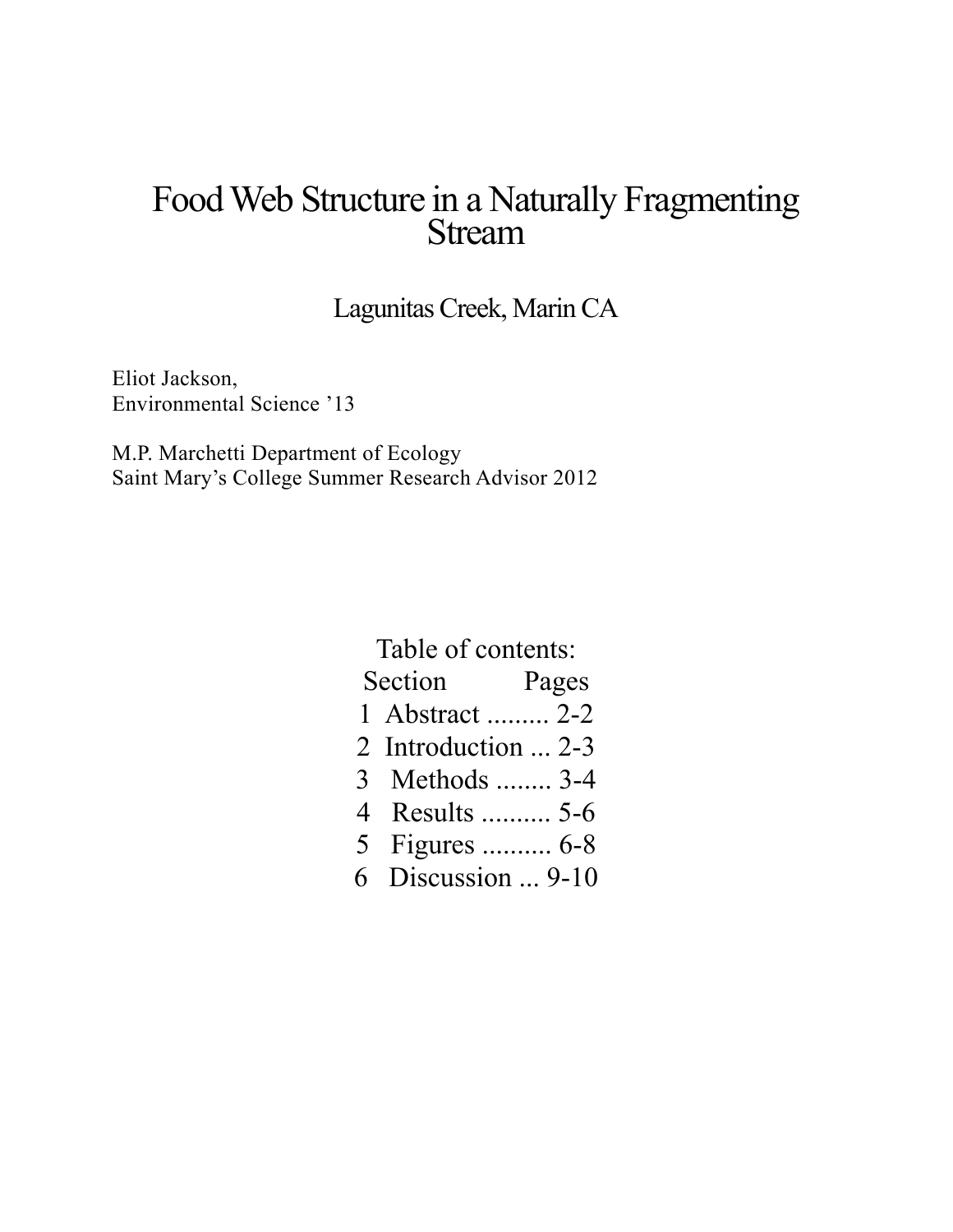# Food Web Structure in a Naturally Fragmenting<br>Stream

Lagunitas Creek, Marin CA

Eliot Jackson, Environmental Science '13

M.P. Marchetti Department of Ecology Saint Mary's College Summer Research Advisor 2012

| Table of contents: |                     |       |
|--------------------|---------------------|-------|
|                    | Section             | Pages |
|                    | 1 Abstract  2-2     |       |
|                    | 2 Introduction  2-3 |       |
|                    | 3 Methods  3-4      |       |
|                    | 4 Results  5-6      |       |
|                    | 5 Figures  6-8      |       |
|                    | 6 Discussion  9-10  |       |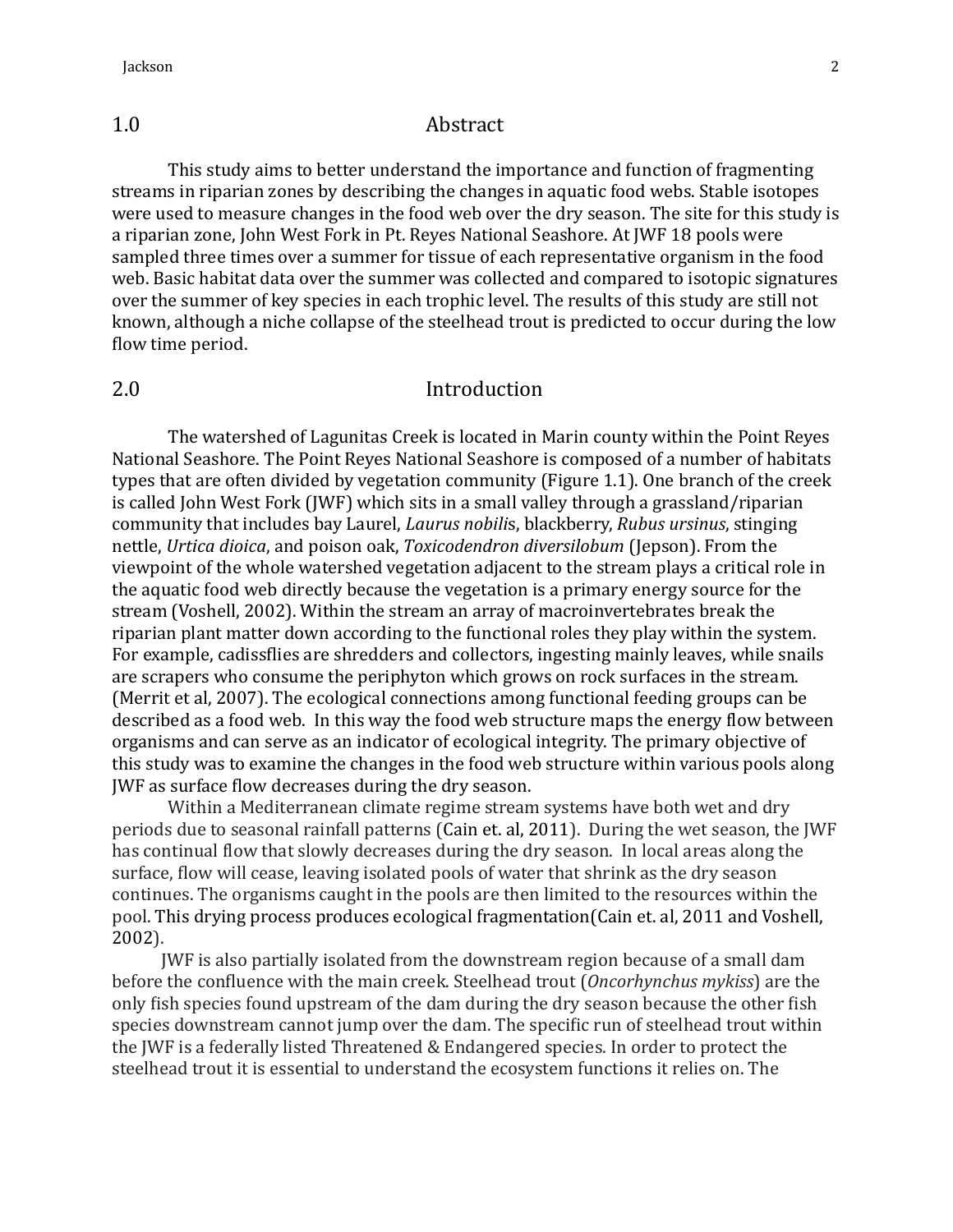# 1.0 Abstract

This study aims to better understand the importance and function of fragmenting streams in riparian zones by describing the changes in aquatic food webs. Stable isotopes were used to measure changes in the food web over the dry season. The site for this study is a riparian zone, John West Fork in Pt. Reyes National Seashore. At JWF 18 pools were sampled three times over a summer for tissue of each representative organism in the food web. Basic habitat data over the summer was collected and compared to isotopic signatures over the summer of key species in each trophic level. The results of this study are still not known, although a niche collapse of the steelhead trout is predicted to occur during the low flow time period.

# 2.0 Introduction

The watershed of Lagunitas Creek is located in Marin county within the Point Reyes National Seashore. The Point Reyes National Seashore is composed of a number of habitats types that are often divided by vegetation community (Figure 1.1). One branch of the creek is called John West Fork (JWF) which sits in a small valley through a grassland/riparian community that includes bay Laurel, *Laurus nobilis*, blackberry, *Rubus ursinus*, stinging nettle, *Urtica dioica*, and poison oak, *Toxicodendron diversilobum* (Jepson). From the viewpoint of the whole watershed vegetation adjacent to the stream plays a critical role in the aquatic food web directly because the vegetation is a primary energy source for the stream (Voshell, 2002). Within the stream an array of macroinvertebrates break the riparian plant matter down according to the functional roles they play within the system. For example, cadissflies are shredders and collectors, ingesting mainly leaves, while snails are scrapers who consume the periphyton which grows on rock surfaces in the stream. (Merrit et al, 2007). The ecological connections among functional feeding groups can be described as a food web. In this way the food web structure maps the energy flow between organisms and can serve as an indicator of ecological integrity. The primary objective of this study was to examine the changes in the food web structure within various pools along JWF as surface flow decreases during the dry season.

Within a Mediterranean climate regime stream systems have both wet and dry periods due to seasonal rainfall patterns (Cain et. al, 2011). During the wet season, the JWF has continual flow that slowly decreases during the dry season. In local areas along the surface, flow will cease, leaving isolated pools of water that shrink as the dry season continues. The organisms caught in the pools are then limited to the resources within the pool. This drying process produces ecological fragmentation(Cain et. al, 2011 and Voshell, 2002).

JWF is also partially isolated from the downstream region because of a small dam before the confluence with the main creek. Steelhead trout (*Oncorhynchus mykiss*) are the only fish species found upstream of the dam during the dry season because the other fish species downstream cannot jump over the dam. The specific run of steelhead trout within the IWF is a federally listed Threatened & Endangered species. In order to protect the steelhead trout it is essential to understand the ecosystem functions it relies on. The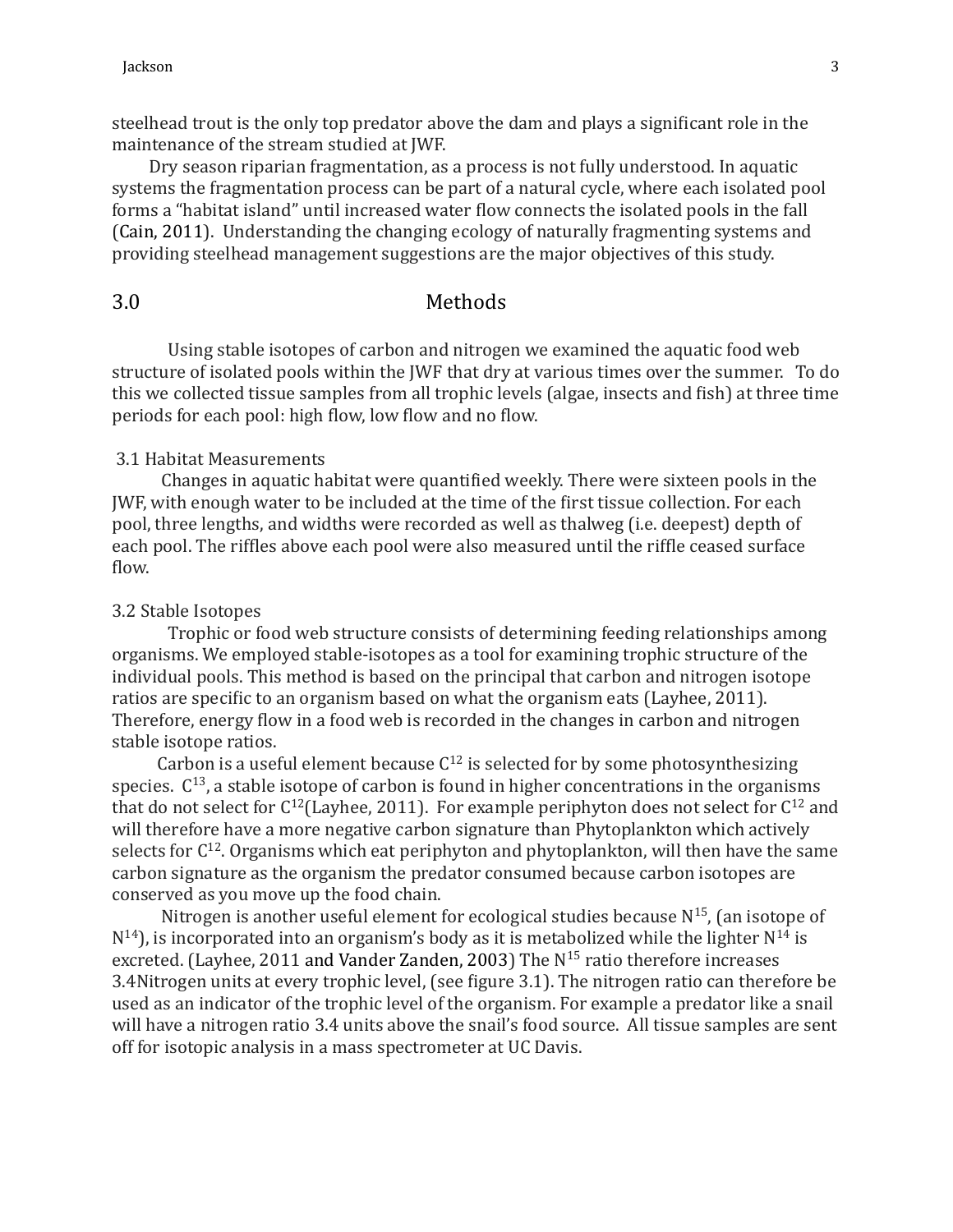steelhead trout is the only top predator above the dam and plays a significant role in the maintenance of the stream studied at JWF.

Dry season riparian fragmentation, as a process is not fully understood. In aquatic systems the fragmentation process can be part of a natural cycle, where each isolated pool forms a "habitat island" until increased water flow connects the isolated pools in the fall (Cain, 2011). Understanding the changing ecology of naturally fragmenting systems and providing steelhead management suggestions are the major objectives of this study.

# 3.0 Methods

Using stable isotopes of carbon and nitrogen we examined the aquatic food web structure of isolated pools within the JWF that dry at various times over the summer. To do this we collected tissue samples from all trophic levels (algae, insects and fish) at three time periods for each pool: high flow, low flow and no flow.

## 3.1 Habitat Measurements

Changes in aquatic habitat were quantified weekly. There were sixteen pools in the JWF, with enough water to be included at the time of the first tissue collection. For each pool, three lengths, and widths were recorded as well as thalweg (i.e. deepest) depth of each pool. The riffles above each pool were also measured until the riffle ceased surface flow.

### 3.2 Stable Isotopes

Trophic or food web structure consists of determining feeding relationships among organisms. We employed stable-isotopes as a tool for examining trophic structure of the individual pools. This method is based on the principal that carbon and nitrogen isotope ratios are specific to an organism based on what the organism eats (Layhee, 2011). Therefore, energy flow in a food web is recorded in the changes in carbon and nitrogen stable isotope ratios.

Carbon is a useful element because  $C^{12}$  is selected for by some photosynthesizing species.  $C^{13}$ , a stable isotope of carbon is found in higher concentrations in the organisms that do not select for  $C^{12}$ (Layhee, 2011). For example periphyton does not select for  $C^{12}$  and will therefore have a more negative carbon signature than Phytoplankton which actively selects for  $C^{12}$ . Organisms which eat periphyton and phytoplankton, will then have the same carbon signature as the organism the predator consumed because carbon isotopes are conserved as you move up the food chain.

Nitrogen is another useful element for ecological studies because  $N^{15}$ , (an isotope of  $N^{14}$ ), is incorporated into an organism's body as it is metabolized while the lighter  $N^{14}$  is excreted. (Layhee, 2011 and Vander Zanden, 2003) The  $N^{15}$  ratio therefore increases 3.4Nitrogen units at every trophic level, (see figure 3.1). The nitrogen ratio can therefore be used as an indicator of the trophic level of the organism. For example a predator like a snail will have a nitrogen ratio 3.4 units above the snail's food source. All tissue samples are sent off for isotopic analysis in a mass spectrometer at UC Davis.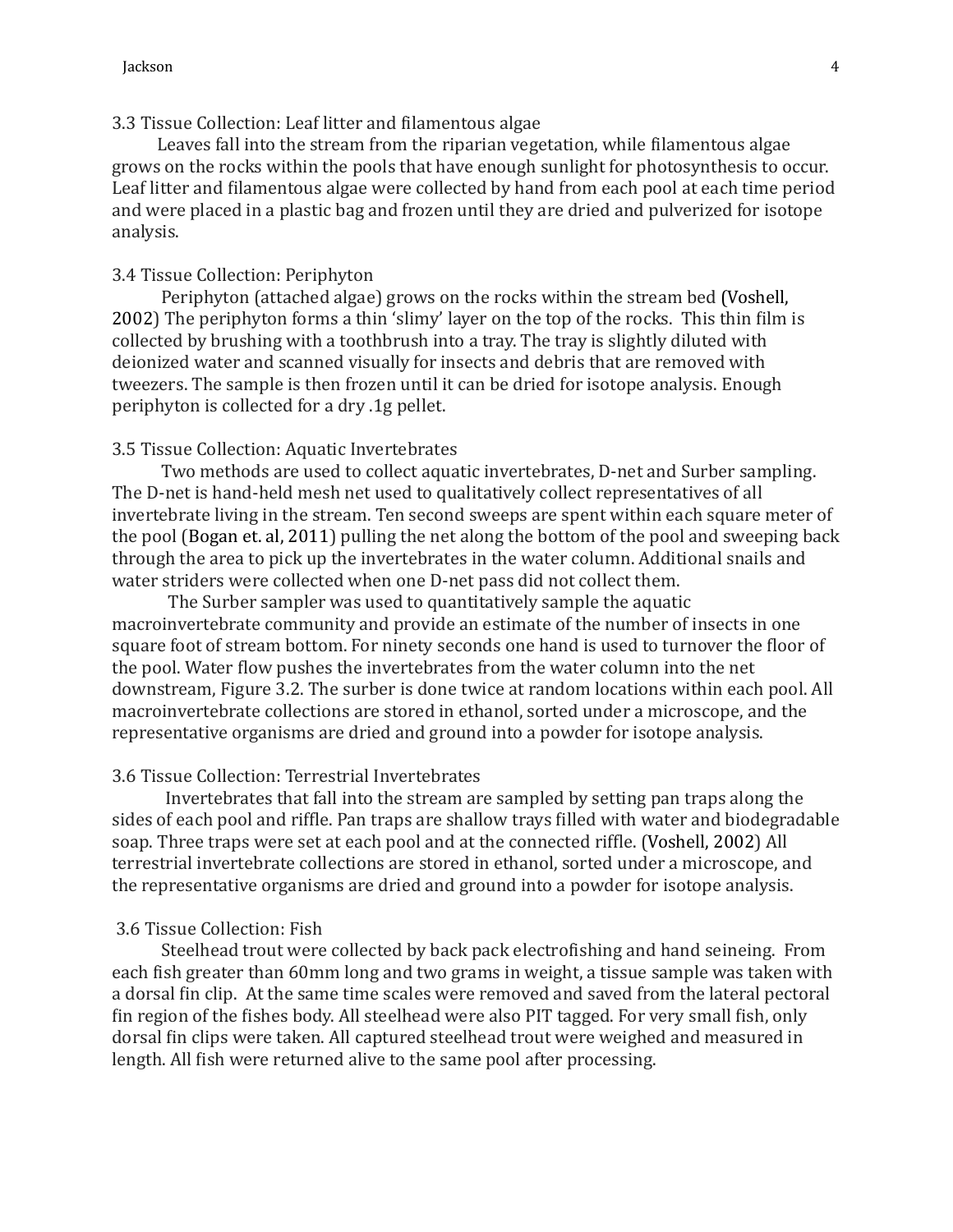# 3.3 Tissue Collection: Leaf litter and filamentous algae

Leaves fall into the stream from the riparian vegetation, while filamentous algae grows on the rocks within the pools that have enough sunlight for photosynthesis to occur. Leaf litter and filamentous algae were collected by hand from each pool at each time period and were placed in a plastic bag and frozen until they are dried and pulverized for isotope analysis.

## 3.4 Tissue Collection: Periphyton

Periphyton (attached algae) grows on the rocks within the stream bed (Voshell, 2002) The periphyton forms a thin 'slimy' layer on the top of the rocks. This thin film is collected by brushing with a toothbrush into a tray. The tray is slightly diluted with deionized water and scanned visually for insects and debris that are removed with tweezers. The sample is then frozen until it can be dried for isotope analysis. Enough periphyton is collected for a dry .1g pellet.

#### 3.5 Tissue Collection: Aquatic Invertebrates

Two methods are used to collect aquatic invertebrates, D-net and Surber sampling. The D-net is hand-held mesh net used to qualitatively collect representatives of all invertebrate living in the stream. Ten second sweeps are spent within each square meter of the pool (Bogan et. al, 2011) pulling the net along the bottom of the pool and sweeping back through the area to pick up the invertebrates in the water column. Additional snails and water striders were collected when one D-net pass did not collect them.

The Surber sampler was used to quantitatively sample the aquatic macroinvertebrate community and provide an estimate of the number of insects in one square foot of stream bottom. For ninety seconds one hand is used to turnover the floor of the pool. Water flow pushes the invertebrates from the water column into the net downstream, Figure 3.2. The surber is done twice at random locations within each pool. All macroinvertebrate collections are stored in ethanol, sorted under a microscope, and the representative organisms are dried and ground into a powder for isotope analysis.

#### 3.6 Tissue Collection: Terrestrial Invertebrates

Invertebrates that fall into the stream are sampled by setting pan traps along the sides of each pool and riffle. Pan traps are shallow trays filled with water and biodegradable soap. Three traps were set at each pool and at the connected riffle. (Voshell, 2002) All terrestrial invertebrate collections are stored in ethanol, sorted under a microscope, and the representative organisms are dried and ground into a powder for isotope analysis.

## 3.6 Tissue Collection: Fish

Steelhead trout were collected by back pack electrofishing and hand seineing. From each fish greater than 60mm long and two grams in weight, a tissue sample was taken with a dorsal fin clip. At the same time scales were removed and saved from the lateral pectoral fin region of the fishes body. All steelhead were also PIT tagged. For very small fish, only dorsal fin clips were taken. All captured steelhead trout were weighed and measured in length. All fish were returned alive to the same pool after processing.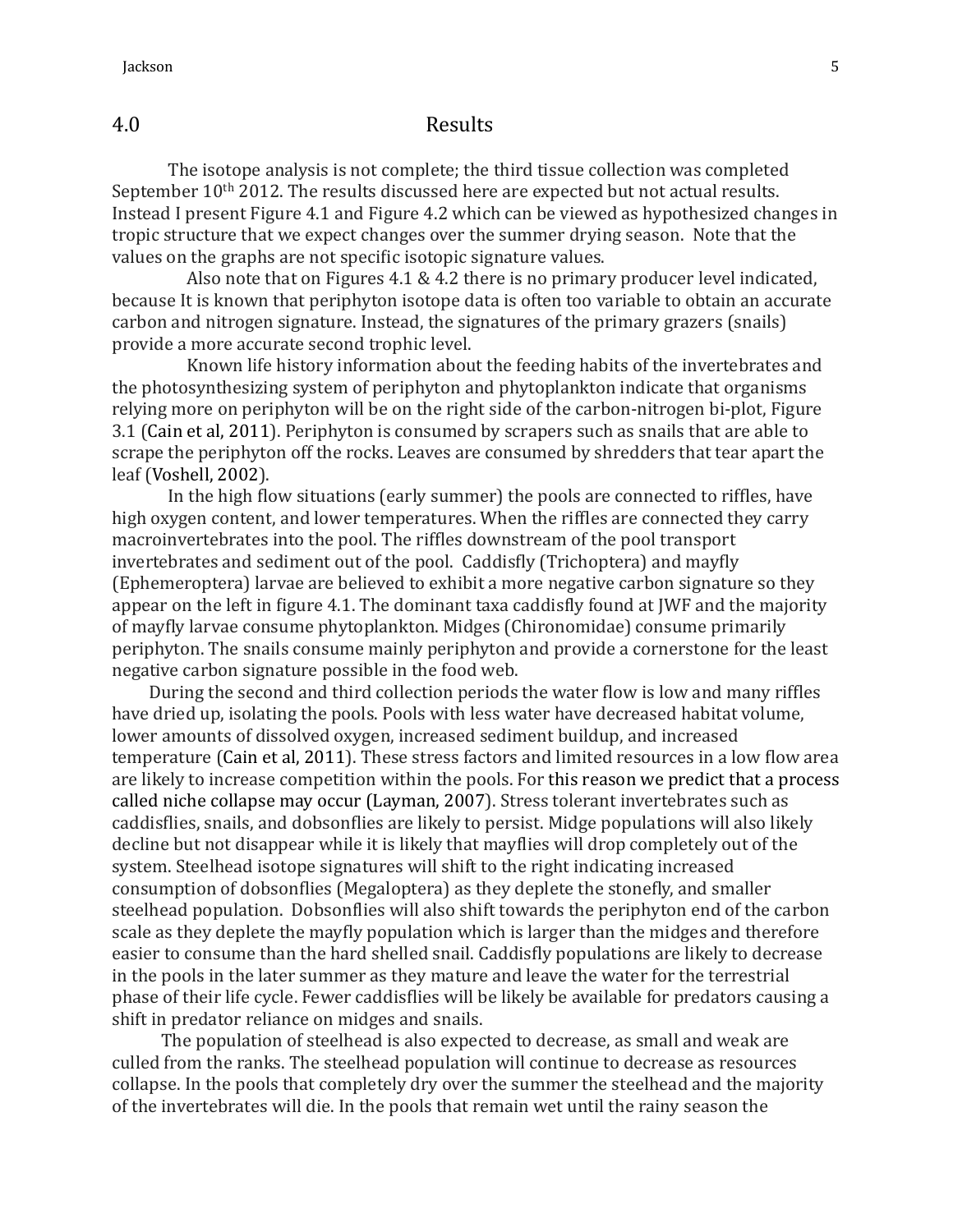# 4.0 Results

The isotope analysis is not complete; the third tissue collection was completed September  $10<sup>th</sup>$  2012. The results discussed here are expected but not actual results. Instead I present Figure 4.1 and Figure 4.2 which can be viewed as hypothesized changes in tropic structure that we expect changes over the summer drying season. Note that the values on the graphs are not specific isotopic signature values.

Also note that on Figures 4.1 & 4.2 there is no primary producer level indicated, because It is known that periphyton isotope data is often too variable to obtain an accurate carbon and nitrogen signature. Instead, the signatures of the primary grazers (snails) provide a more accurate second trophic level.

Known life history information about the feeding habits of the invertebrates and the photosynthesizing system of periphyton and phytoplankton indicate that organisms relying more on periphyton will be on the right side of the carbon-nitrogen bi-plot, Figure 3.1 (Cain et al, 2011). Periphyton is consumed by scrapers such as snails that are able to scrape the periphyton off the rocks. Leaves are consumed by shredders that tear apart the leaf (Voshell, 2002).

In the high flow situations (early summer) the pools are connected to riffles, have high oxygen content, and lower temperatures. When the riffles are connected they carry macroinvertebrates into the pool. The riffles downstream of the pool transport invertebrates and sediment out of the pool. Caddisfly (Trichoptera) and mayfly (Ephemeroptera) larvae are believed to exhibit a more negative carbon signature so they appear on the left in figure 4.1. The dominant taxa caddisfly found at JWF and the majority of mayfly larvae consume phytoplankton. Midges (Chironomidae) consume primarily periphyton. The snails consume mainly periphyton and provide a cornerstone for the least negative carbon signature possible in the food web.

During the second and third collection periods the water flow is low and many riffles have dried up, isolating the pools. Pools with less water have decreased habitat volume, lower amounts of dissolved oxygen, increased sediment buildup, and increased temperature (Cain et al, 2011). These stress factors and limited resources in a low flow area are likely to increase competition within the pools. For this reason we predict that a process called niche collapse may occur (Layman, 2007). Stress tolerant invertebrates such as caddisflies, snails, and dobsonflies are likely to persist. Midge populations will also likely decline but not disappear while it is likely that mayflies will drop completely out of the system. Steelhead isotope signatures will shift to the right indicating increased consumption of dobsonflies (Megaloptera) as they deplete the stonefly, and smaller steelhead population. Dobsonflies will also shift towards the periphyton end of the carbon scale as they deplete the mayfly population which is larger than the midges and therefore easier to consume than the hard shelled snail. Caddisfly populations are likely to decrease in the pools in the later summer as they mature and leave the water for the terrestrial phase of their life cycle. Fewer caddisflies will be likely be available for predators causing a shift in predator reliance on midges and snails.

The population of steelhead is also expected to decrease, as small and weak are culled from the ranks. The steelhead population will continue to decrease as resources collapse. In the pools that completely dry over the summer the steelhead and the majority of the invertebrates will die. In the pools that remain wet until the rainy season the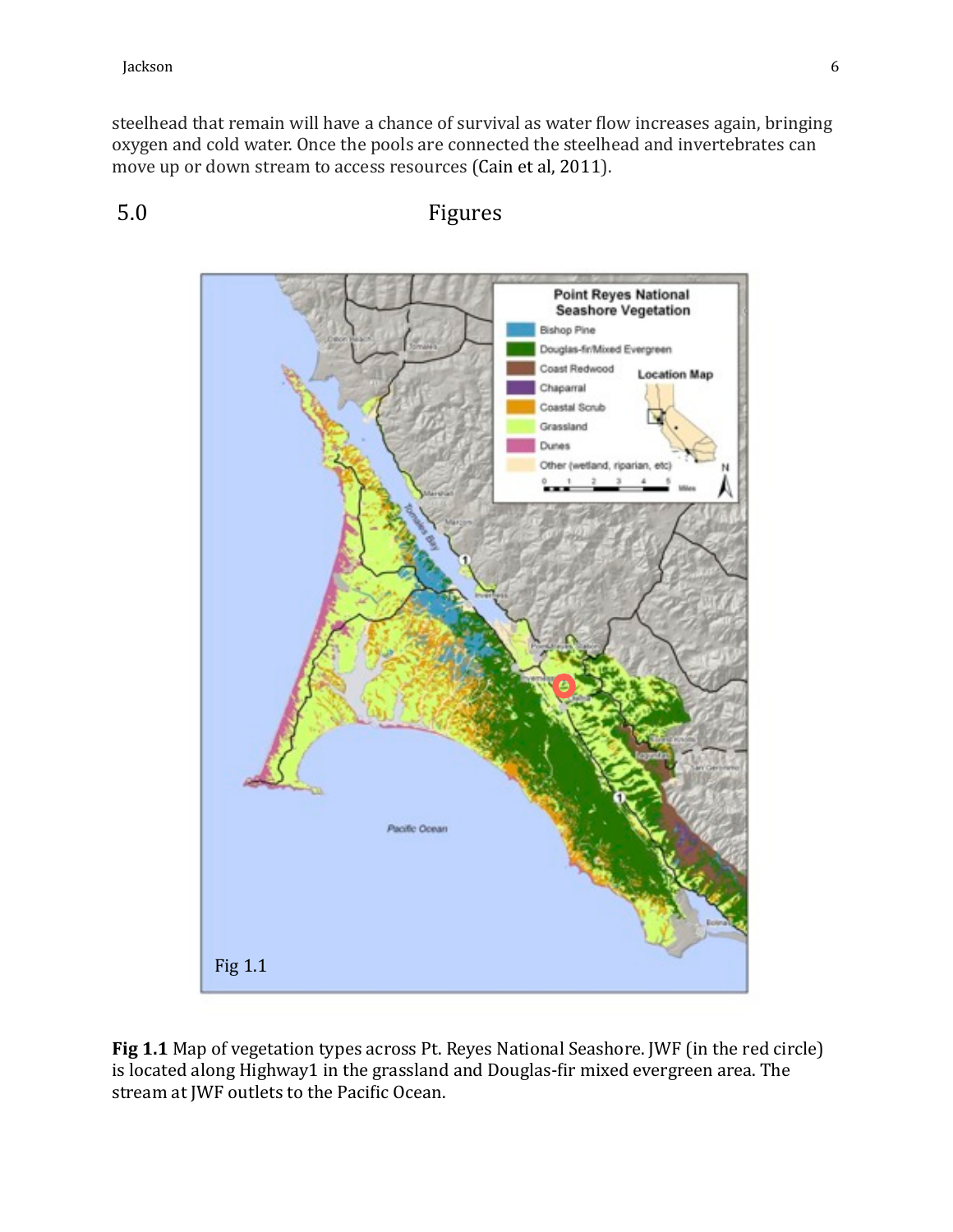steelhead that remain will have a chance of survival as water flow increases again, bringing oxygen and cold water. Once the pools are connected the steelhead and invertebrates can move up or down stream to access resources (Cain et al, 2011).



5.0 Figures

**Fig 1.1** Map of vegetation types across Pt. Reyes National Seashore. JWF (in the red circle) is located along Highway1 in the grassland and Douglas-fir mixed evergreen area. The stream at JWF outlets to the Pacific Ocean.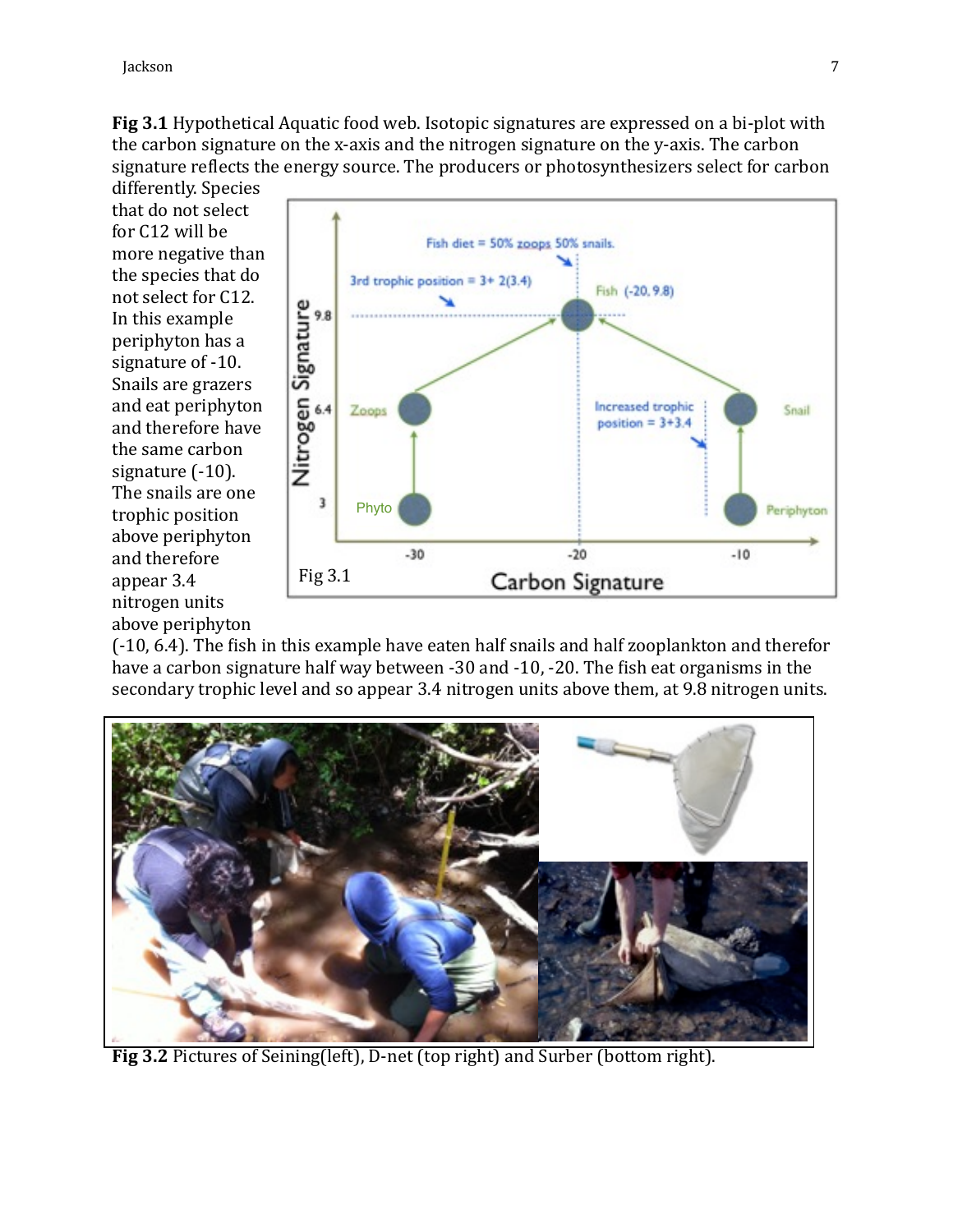**Fig 3.1** Hypothetical Aquatic food web. Isotopic signatures are expressed on a bi-plot with the carbon signature on the x-axis and the nitrogen signature on the y-axis. The carbon signature reflects the energy source. The producers or photosynthesizers select for carbon

differently. Species that do not select for C12 will be more negative than the species that do not select for C12. In this example periphyton has a signature of -10. Snails are grazers and eat periphyton and therefore have the same carbon signature  $(-10)$ . The snails are one trophic position above periphyton and therefore appear 3.4 nitrogen units above periphyton



(-10, 6.4). The fish in this example have eaten half snails and half zooplankton and therefor have a carbon signature half way between -30 and -10, -20. The fish eat organisms in the secondary trophic level and so appear 3.4 nitrogen units above them, at 9.8 nitrogen units.



Fig 3.2 Pictures of Seining(left), D-net (top right) and Surber (bottom right).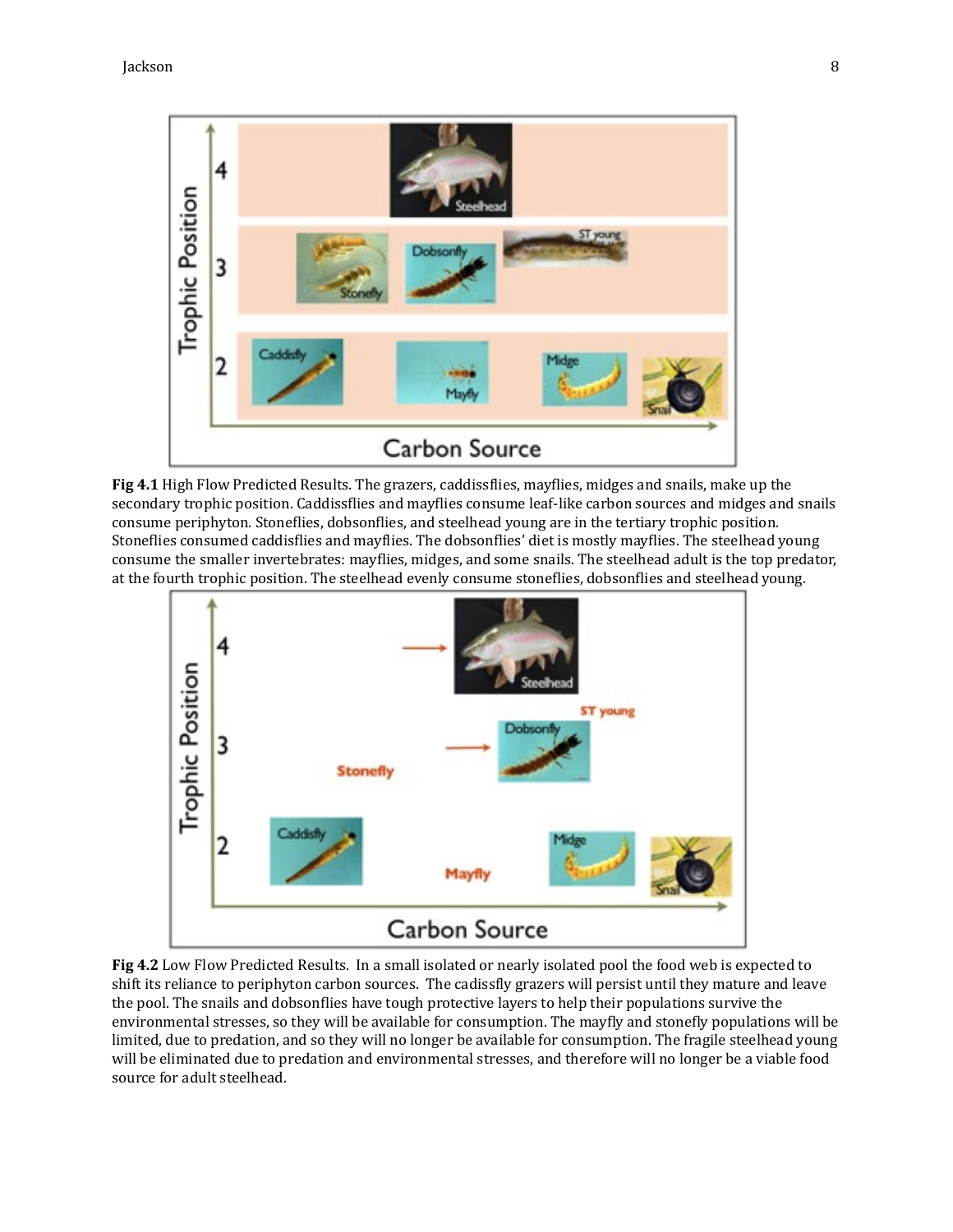

**Fig 4.1** High Flow Predicted Results. The grazers, caddissflies, mayflies, midges and snails, make up the secondary trophic position. Caddissflies and mayflies consume leaf-like carbon sources and midges and snails consume periphyton. Stoneflies, dobsonflies, and steelhead young are in the tertiary trophic position. Stoneflies consumed caddisflies and mayflies. The dobsonflies' diet is mostly mayflies. The steelhead young consume the smaller invertebrates: mayflies, midges, and some snails. The steelhead adult is the top predator, at the fourth trophic position. The steelhead evenly consume stoneflies, dobsonflies and steelhead young.



**Fig 4.2** Low Flow Predicted Results. In a small isolated or nearly isolated pool the food web is expected to shift its reliance to periphyton carbon sources. The cadissfly grazers will persist until they mature and leave the pool. The snails and dobsonflies have tough protective layers to help their populations survive the environmental stresses, so they will be available for consumption. The mayfly and stonefly populations will be limited, due to predation, and so they will no longer be available for consumption. The fragile steelhead young will be eliminated due to predation and environmental stresses, and therefore will no longer be a viable food source for adult steelhead.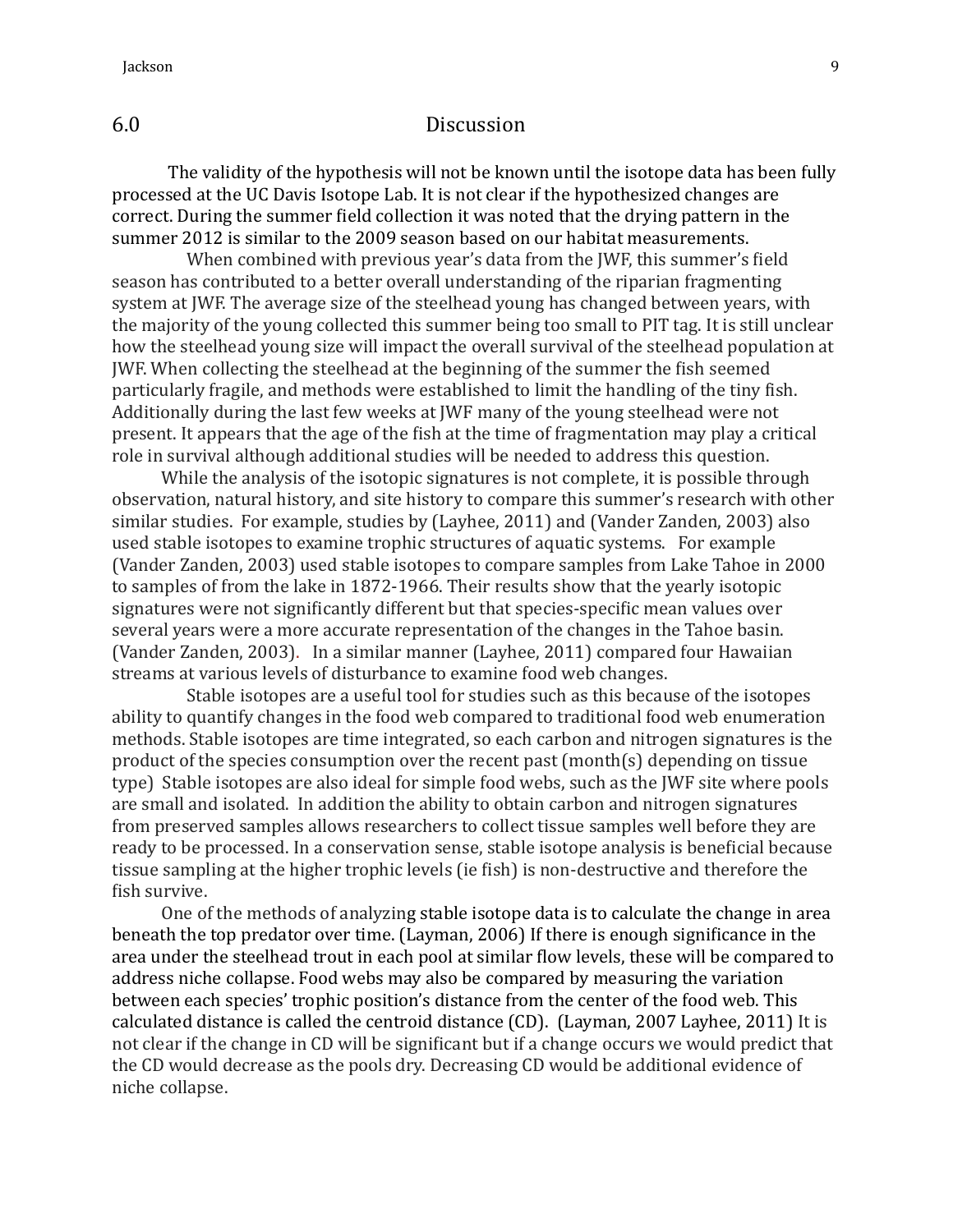# 6.0 Discussion

The validity of the hypothesis will not be known until the isotope data has been fully processed at the UC Davis Isotope Lab. It is not clear if the hypothesized changes are correct. During the summer field collection it was noted that the drying pattern in the summer 2012 is similar to the 2009 season based on our habitat measurements.

When combined with previous year's data from the JWF, this summer's field season has contributed to a better overall understanding of the riparian fragmenting system at JWF. The average size of the steelhead young has changed between years, with the majority of the young collected this summer being too small to PIT tag. It is still unclear how the steelhead young size will impact the overall survival of the steelhead population at JWF. When collecting the steelhead at the beginning of the summer the fish seemed particularly fragile, and methods were established to limit the handling of the tiny fish. Additionally during the last few weeks at JWF many of the young steelhead were not present. It appears that the age of the fish at the time of fragmentation may play a critical role in survival although additional studies will be needed to address this question.

While the analysis of the isotopic signatures is not complete, it is possible through observation, natural history, and site history to compare this summer's research with other similar studies. For example, studies by (Layhee, 2011) and (Vander Zanden, 2003) also used stable isotopes to examine trophic structures of aquatic systems. For example (Vander Zanden, 2003) used stable isotopes to compare samples from Lake Tahoe in 2000 to samples of from the lake in 1872-1966. Their results show that the yearly isotopic signatures were not significantly different but that species-specific mean values over several years were a more accurate representation of the changes in the Tahoe basin. (Vander Zanden, 2003). In a similar manner (Layhee, 2011) compared four Hawaiian streams at various levels of disturbance to examine food web changes.

Stable isotopes are a useful tool for studies such as this because of the isotopes ability to quantify changes in the food web compared to traditional food web enumeration methods. Stable isotopes are time integrated, so each carbon and nitrogen signatures is the product of the species consumption over the recent past (month(s) depending on tissue type) Stable isotopes are also ideal for simple food webs, such as the JWF site where pools are small and isolated. In addition the ability to obtain carbon and nitrogen signatures from preserved samples allows researchers to collect tissue samples well before they are ready to be processed. In a conservation sense, stable isotope analysis is beneficial because tissue sampling at the higher trophic levels (ie fish) is non-destructive and therefore the fish survive.

One of the methods of analyzing stable isotope data is to calculate the change in area beneath the top predator over time. (Layman, 2006) If there is enough significance in the area under the steelhead trout in each pool at similar flow levels, these will be compared to address niche collapse. Food webs may also be compared by measuring the variation between each species' trophic position's distance from the center of the food web. This calculated distance is called the centroid distance (CD). (Layman, 2007 Layhee, 2011) It is not clear if the change in CD will be significant but if a change occurs we would predict that the CD would decrease as the pools dry. Decreasing CD would be additional evidence of niche collapse.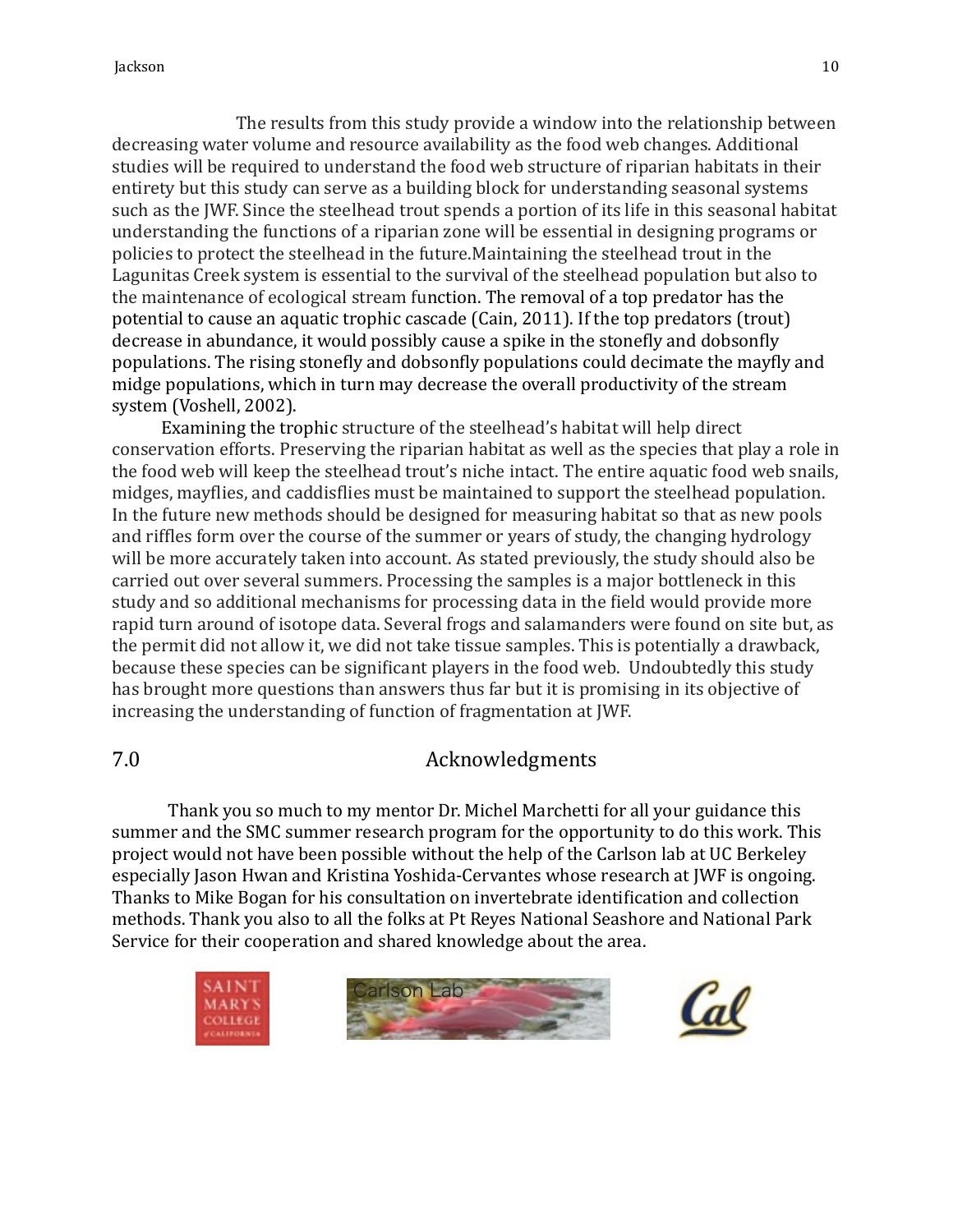The results from this study provide a window into the relationship between decreasing water volume and resource availability as the food web changes. Additional studies will be required to understand the food web structure of riparian habitats in their entirety but this study can serve as a building block for understanding seasonal systems such as the JWF. Since the steelhead trout spends a portion of its life in this seasonal habitat understanding the functions of a riparian zone will be essential in designing programs or policies to protect the steelhead in the future.Maintaining the steelhead trout in the Lagunitas Creek system is essential to the survival of the steelhead population but also to the maintenance of ecological stream function. The removal of a top predator has the potential to cause an aquatic trophic cascade  $(Cain, 2011)$ . If the top predators  $($ trout $)$ decrease in abundance, it would possibly cause a spike in the stonefly and dobsonfly populations. The rising stonefly and dobsonfly populations could decimate the mayfly and midge populations, which in turn may decrease the overall productivity of the stream system (Voshell, 2002).

Examining the trophic structure of the steelhead's habitat will help direct conservation efforts. Preserving the riparian habitat as well as the species that play a role in the food web will keep the steelhead trout's niche intact. The entire aquatic food web snails, midges, mayflies, and caddisflies must be maintained to support the steelhead population. In the future new methods should be designed for measuring habitat so that as new pools and riffles form over the course of the summer or years of study, the changing hydrology will be more accurately taken into account. As stated previously, the study should also be carried out over several summers. Processing the samples is a major bottleneck in this study and so additional mechanisms for processing data in the field would provide more rapid turn around of isotope data. Several frogs and salamanders were found on site but, as the permit did not allow it, we did not take tissue samples. This is potentially a drawback, because these species can be significant players in the food web. Undoubtedly this study has brought more questions than answers thus far but it is promising in its objective of increasing the understanding of function of fragmentation at JWF.

# 7.0 Acknowledgments

Thank you so much to my mentor Dr. Michel Marchetti for all your guidance this summer and the SMC summer research program for the opportunity to do this work. This project would not have been possible without the help of the Carlson lab at UC Berkeley especially Jason Hwan and Kristina Yoshida-Cervantes whose research at JWF is ongoing. Thanks to Mike Bogan for his consultation on invertebrate identification and collection methods. Thank you also to all the folks at Pt Reyes National Seashore and National Park Service for their cooperation and shared knowledge about the area.

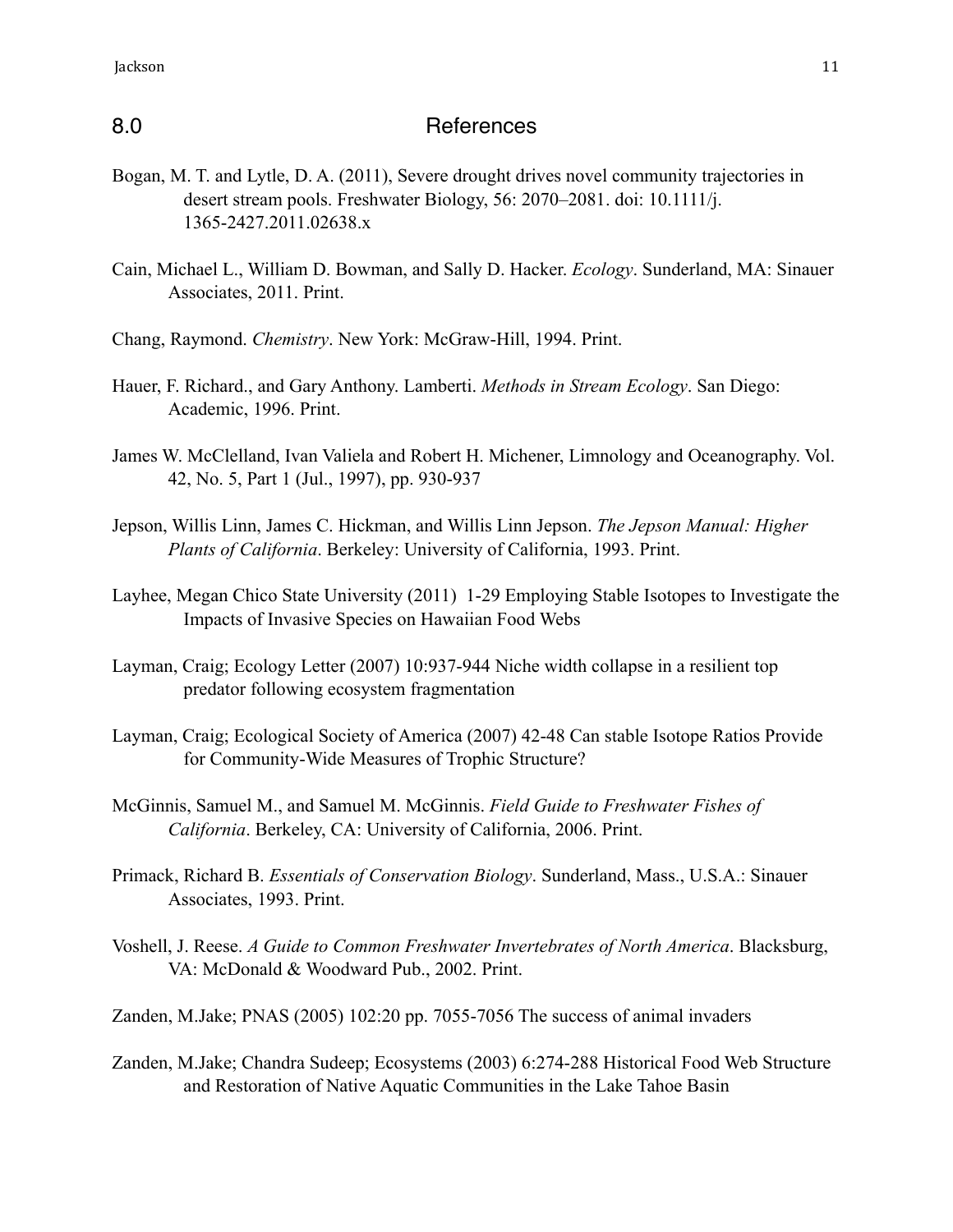# 8.0 References

- Bogan, M. T. and Lytle, D. A. (2011), Severe drought drives novel community trajectories in desert stream pools. Freshwater Biology, 56: 2070–2081. doi: 10.1111/j. 1365-2427.2011.02638.x
- Cain, Michael L., William D. Bowman, and Sally D. Hacker. *Ecology*. Sunderland, MA: Sinauer Associates, 2011. Print.
- Chang, Raymond. *Chemistry*. New York: McGraw-Hill, 1994. Print.
- Hauer, F. Richard., and Gary Anthony. Lamberti. *Methods in Stream Ecology*. San Diego: Academic, 1996. Print.
- James W. McClelland, Ivan Valiela and Robert H. Michener, Limnology and Oceanography. Vol. 42, No. 5, Part 1 (Jul., 1997), pp. 930-937
- Jepson, Willis Linn, James C. Hickman, and Willis Linn Jepson. *The Jepson Manual: Higher Plants of California*. Berkeley: University of California, 1993. Print.
- Layhee, Megan Chico State University (2011) 1-29 Employing Stable Isotopes to Investigate the Impacts of Invasive Species on Hawaiian Food Webs
- Layman, Craig; Ecology Letter (2007) 10:937-944 Niche width collapse in a resilient top predator following ecosystem fragmentation
- Layman, Craig; Ecological Society of America (2007) 42-48 Can stable Isotope Ratios Provide for Community-Wide Measures of Trophic Structure?
- McGinnis, Samuel M., and Samuel M. McGinnis. *Field Guide to Freshwater Fishes of California*. Berkeley, CA: University of California, 2006. Print.
- Primack, Richard B. *Essentials of Conservation Biology*. Sunderland, Mass., U.S.A.: Sinauer Associates, 1993. Print.
- Voshell, J. Reese. *A Guide to Common Freshwater Invertebrates of North America*. Blacksburg, VA: McDonald & Woodward Pub., 2002. Print.
- Zanden, M.Jake; PNAS (2005) 102:20 pp. 7055-7056 The success of animal invaders
- Zanden, M.Jake; Chandra Sudeep; Ecosystems (2003) 6:274-288 Historical Food Web Structure and Restoration of Native Aquatic Communities in the Lake Tahoe Basin